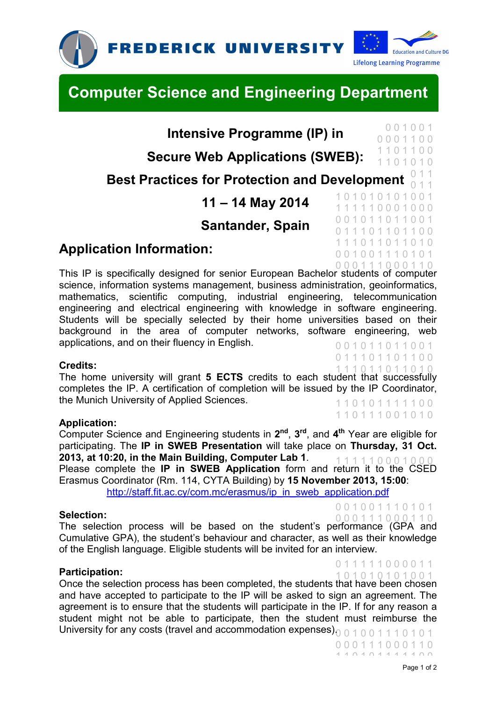



0 0 1 0 0 1 0 0 0 1 1 0 0 1 1 0 1 1 0 0 1 1 0 1 0 1 0

1 0 1 0 1 0 1 0 1 0 0 1 1 1 1 1 1 0 0 0 1 0 0 0 0 0 1 0 1 1 0 1 1 0 0 1 0 1 1 1 0 1 1 0 1 1 0 0 1 1 1 0 1 1 0 1 1 0 1 0 0 0 1 0 0 1 1 1 0 1 0 1

# **Computer Science and Engineering Department**

**Intensive Programme (IP) in** 

**Secure Web Applications (SWEB):** 

0 1 1 0 1 1 **Best Practices for Protection and Development** 

**11 – 14 May 2014** 

## **Santander, Spain**

## **Application Information:**

0 0 0 1 1 1 0 0 0 1 1 0 This IP is specifically designed for senior European Bachelor students of computer science, information systems management, business administration, geoinformatics, mathematics, scientific computing, industrial engineering, telecommunication engineering and electrical engineering with knowledge in software engineering. Students will be specially selected by their home universities based on their background in the area of computer networks, software engineering, web 0 0 1 0 1 1 0 1 1 0 0 1 applications, and on their fluency in English.

## **Credits:**

1 1 1 0 1 1 0 1 1 0 1 0 luent that successiuly completes the IP. A certification of completion will be issued by the IP Coordinator, 1 1 0 1 0 1 1 1 1 1 0 0 The home university will grant **5 ECTS** credits to each student that successfully the Munich University of Applied Sciences.

## **Application:**

 $\mathbf{d}$  the  $\mathbf{d}$ Computer Science and Engineering students in 2<sup>nd</sup>, 3<sup>rd</sup>, and 4<sup>th</sup> Year are eligible for participating. The **IP in SWEB Presentation** will take place on **Thursday, 31 Oct.** 1 1 1 1 1 0 0 0 1 0 0 0 Please complete the **IP in SWEB Application** form and return it to the CSED Erasmus Coordinator (Rm. 114, CYTA Building) by **15 November 2013, 15:00**: http://staff.fit.ac.cy/com.mc/erasmus/ip\_in\_sweb\_application.pdf **2013, at 10:20, in the Main Building, Computer Lab 1**.

### **Selection:**

0 0 1 0 0 1 1 1 0 1 0 1 0 0 0 1 1 1 0 0 0 1 1 0

0 1 1 1 0 1 1 0 1 1 0 0

1 1 0 1 1 1 0 0 1 0 1 0

The selection process will be based on the student's performance (GPA and Cumulative GPA), the student's behaviour and character, as well as their knowledge of the English language. Eligible students will be invited for an interview.

## **Participation:**

#### 0 1 1 1 1 1 0 0 0 0 1 1 1 0 1 0 1 0 1 0 1 0 0 1

Once the selection process has been completed, the students that have been chosen and have accepted to participate to the IP will be asked to sign an agreement. The agreement is to ensure that the students will participate in the IP. If for any reason a t must reimburse the University for any costs (travel and accommodation expenses) $_0$   $_0$  1 0 0 1 1 1 0 1 0 1 student might not be able to participate, then the student must reimburse the